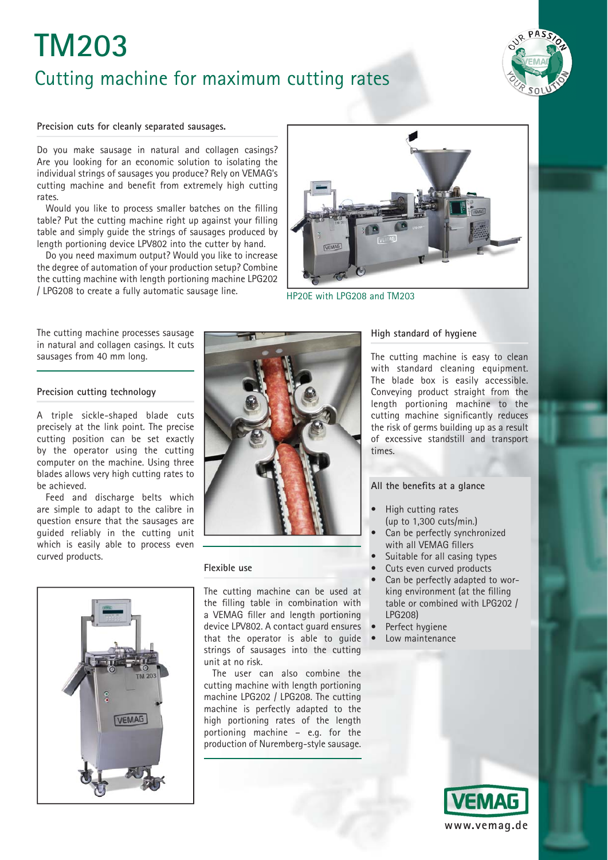# **TM203** Cutting machine for maximum cutting rates



#### **Precision cuts for cleanly separated sausages.**

Do you make sausage in natural and collagen casings? Are you looking for an economic solution to isolating the individual strings of sausages you produce? Rely on VEMAG's cutting machine and benefit from extremely high cutting rates.

Would you like to process smaller batches on the filling table? Put the cutting machine right up against your filling table and simply guide the strings of sausages produced by length portioning device LPV802 into the cutter by hand.

Do you need maximum output? Would you like to increase the degree of automation of your production setup? Combine the cutting machine with length portioning machine LPG202 / LPG208 to create a fully automatic sausage line.



The cutting machine processes sausage in natural and collagen casings. It cuts sausages from 40 mm long.

#### **Precision cutting technology**

A triple sickle-shaped blade cuts precisely at the link point. The precise cutting position can be set exactly by the operator using the cutting computer on the machine. Using three blades allows very high cutting rates to be achieved.

Feed and discharge belts which are simple to adapt to the calibre in question ensure that the sausages are guided reliably in the cutting unit which is easily able to process even curved products.





#### **Flexible use**

The cutting machine can be used at the filling table in combination with a VEMAG filler and length portioning device LPV802. A contact guard ensures that the operator is able to guide strings of sausages into the cutting unit at no risk.

The user can also combine the cutting machine with length portioning machine LPG202 / LPG208. The cutting machine is perfectly adapted to the high portioning rates of the length portioning machine – e.g. for the production of Nuremberg-style sausage.

#### **High standard of hygiene**

The cutting machine is easy to clean with standard cleaning equipment. The blade box is easily accessible. Conveying product straight from the length portioning machine to the cutting machine significantly reduces the risk of germs building up as a result of excessive standstill and transport times.

#### All the benefits at a glance

- High cutting rates
- (up to 1,300 cuts/min.) Can be perfectly synchronized with all VEMAG fillers
- Suitable for all casing types
- Cuts even curved products
- 
- Can be perfectly adapted to working environment (at the filling table or combined with LPG202 / LPG208)
- Perfect hygiene
- Low maintenance